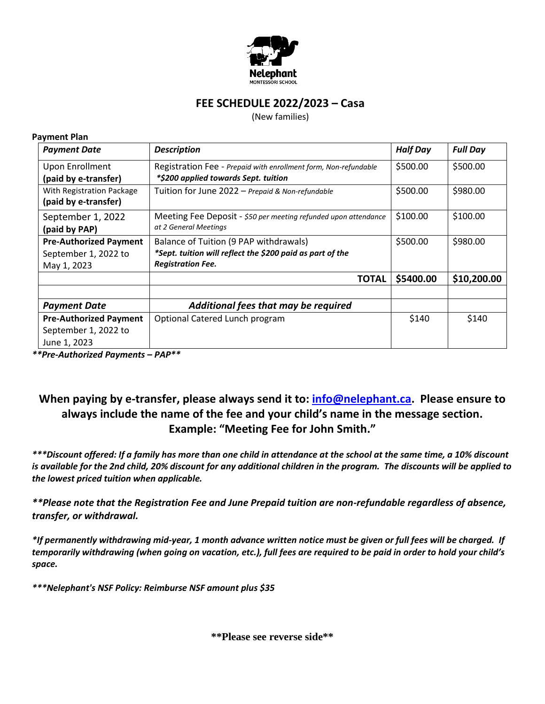

## **FEE SCHEDULE 2022/2023 – Casa**

(New families)

## **Payment Plan**

| <b>Payment Date</b>                                                   | <b>Description</b>                                                                                                              | <b>Half Day</b> | <b>Full Day</b> |
|-----------------------------------------------------------------------|---------------------------------------------------------------------------------------------------------------------------------|-----------------|-----------------|
| <b>Upon Enrollment</b><br>(paid by e-transfer)                        | Registration Fee - Prepaid with enrollment form, Non-refundable<br>*\$200 applied towards Sept. tuition                         | \$500.00        | \$500.00        |
| With Registration Package<br>(paid by e-transfer)                     | Tuition for June 2022 - Prepaid & Non-refundable                                                                                | \$500.00        | \$980.00        |
| September 1, 2022<br>(paid by PAP)                                    | Meeting Fee Deposit - \$50 per meeting refunded upon attendance<br>at 2 General Meetings                                        | \$100.00        | \$100.00        |
| <b>Pre-Authorized Payment</b><br>September 1, 2022 to<br>May 1, 2023  | Balance of Tuition (9 PAP withdrawals)<br>*Sept. tuition will reflect the \$200 paid as part of the<br><b>Registration Fee.</b> | \$500.00        | \$980.00        |
|                                                                       | <b>TOTAL</b>                                                                                                                    | \$5400.00       | \$10,200.00     |
| <b>Payment Date</b>                                                   | Additional fees that may be required                                                                                            |                 |                 |
| <b>Pre-Authorized Payment</b><br>September 1, 2022 to<br>June 1, 2023 | Optional Catered Lunch program                                                                                                  | \$140           | \$140           |

*\*\*Pre-Authorized Payments – PAP\*\**

## **When paying by e-transfer, please always send it to: [info@nelephant.ca.](mailto:info@nelephant.ca) Please ensure to always include the name of the fee and your child's name in the message section. Example: "Meeting Fee for John Smith."**

*\*\*\*Discount offered: If a family has more than one child in attendance at the school at the same time, a 10% discount is available for the 2nd child, 20% discount for any additional children in the program. The discounts will be applied to the lowest priced tuition when applicable.* 

*\*\*Please note that the Registration Fee and June Prepaid tuition are non-refundable regardless of absence, transfer, or withdrawal.* 

*\*If permanently withdrawing mid-year, 1 month advance written notice must be given or full fees will be charged. If temporarily withdrawing (when going on vacation, etc.), full fees are required to be paid in order to hold your child's space.* 

*\*\*\*Nelephant's NSF Policy: Reimburse NSF amount plus \$35*